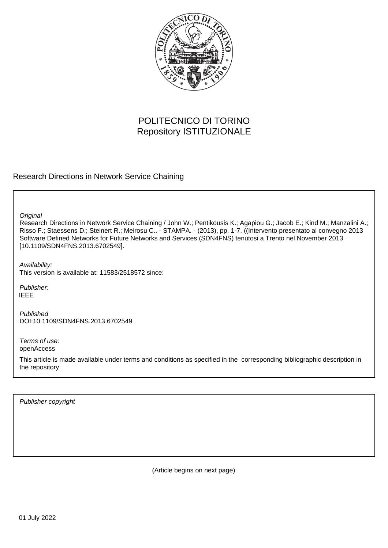

## POLITECNICO DI TORINO Repository ISTITUZIONALE

Research Directions in Network Service Chaining

**Original** 

Research Directions in Network Service Chaining / John W.; Pentikousis K.; Agapiou G.; Jacob E.; Kind M.; Manzalini A.; Risso F.; Staessens D.; Steinert R.; Meirosu C.. - STAMPA. - (2013), pp. 1-7. ((Intervento presentato al convegno 2013 Software Defined Networks for Future Networks and Services (SDN4FNS) tenutosi a Trento nel November 2013 [10.1109/SDN4FNS.2013.6702549].

Availability: This version is available at: 11583/2518572 since:

Publisher: IEEE

Published DOI:10.1109/SDN4FNS.2013.6702549

Terms of use: openAccess

This article is made available under terms and conditions as specified in the corresponding bibliographic description in the repository

Publisher copyright

(Article begins on next page)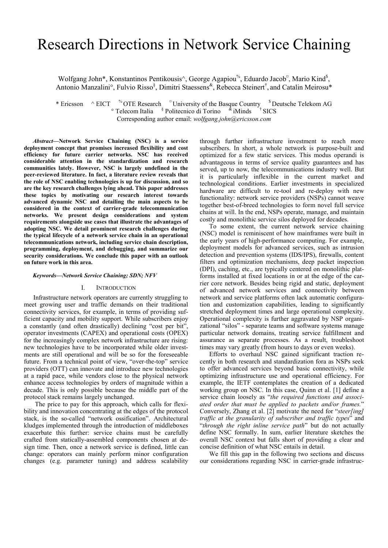# Research Directions in Network Service Chaining

Wolfgang John\*, Konstantinos Pentikousis^, George Agapiou<sup>%</sup>, Eduardo Jacob<sup>¤</sup>, Mario Kind<sup>\$</sup>, Antonio Manzalini°, Fulvio Risso<sup>§</sup>, Dimitri Staessens<sup>&</sup>, Rebecca Steinert<sup>†</sup>, and Catalin Meirosu\*

\* Ericsson  $\wedge$  EICT  $\swarrow$  OTE Research  $\swarrow$  University of the Basque Country  $\swarrow$  S Deutsche Telekom AG

<sup>o</sup> Telecom Italia <sup>§</sup> Politecnico di Torino <sup>&</sup> iMinds <sup>†</sup> SICS

Corresponding author email: *wolfgang.john@ericsson.com*

*Abstract***—Network Service Chaining (NSC) is a service deployment concept that promises increased flexibility and cost efficiency for future carrier networks. NSC has received considerable attention in the standardization and research communities lately. However, NSC is largely undefined in the peer-reviewed literature. In fact, a literature review reveals that the role of NSC enabling technologies is up for discussion, and so are the key research challenges lying ahead. This paper addresses these topics by motivating our research interest towards advanced dynamic NSC and detailing the main aspects to be considered in the context of carrier-grade telecommunication networks. We present design considerations and system requirements alongside use cases that illustrate the advantages of adopting NSC. We detail prominent research challenges during the typical lifecycle of a network service chain in an operational telecommunications network, including service chain description, programming, deployment, and debugging, and summarize our security considerations. We conclude this paper with an outlook on future work in this area.** 

## *Keywords—Network Service Chaining; SDN; NFV*

### I. INTRODUCTION

Infrastructure network operators are currently struggling to meet growing user and traffic demands on their traditional connectivity services, for example, in terms of providing sufficient capacity and mobility support. While subscribers enjoy a constantly (and often drastically) declining "cost per bit", operator investments (CAPEX) and operational costs (OPEX) for the increasingly complex network infrastructure are rising: new technologies have to be incorporated while older investments are still operational and will be so for the foreseeable future. From a technical point of view, "over-the-top" service providers (OTT) can innovate and introduce new technologies at a rapid pace, while vendors close to the physical network enhance access technologies by orders of magnitude within a decade. This is only possible because the middle part of the protocol stack remains largely unchanged.

 The price to pay for this approach, which calls for flexibility and innovation concentrating at the edges of the protocol stack, is the so-called "network ossification". Architectural kludges implemented through the introduction of middleboxes exacerbate this further: service chains must be carefully crafted from statically-assembled components chosen at design time. Then, once a network service is defined, little can change: operators can mainly perform minor configuration changes (e.g. parameter tuning) and address scalability

through further infrastructure investment to reach more subscribers. In short, a whole network is purpose-built and optimized for a few static services. This modus operandi is advantageous in terms of service quality guarantees and has served, up to now, the telecommunications industry well. But it is particularly inflexible in the current market and technological conditions. Earlier investments in specialized hardware are difficult to re-tool and re-deploy with new functionality: network service providers (NSPs) cannot weave together best-of-breed technologies to form novel full service chains at will. In the end, NSPs operate, manage, and maintain costly and monolithic service silos deployed for decades.

To some extent, the current network service chaining (NSC) model is reminiscent of how mainframes were built in the early years of high-performance computing. For example, deployment models for advanced services, such as intrusion detection and prevention systems (IDS/IPS), firewalls, content filters and optimization mechanisms, deep packet inspection (DPI), caching, etc., are typically centered on monolithic platforms installed at fixed locations in or at the edge of the carrier core network. Besides being rigid and static, deployment of advanced network services and connectivity between network and service platforms often lack automatic configuration and customization capabilities, leading to significantly stretched deployment times and large operational complexity. Operational complexity is further aggravated by NSP organizational "silos" - separate teams and software systems manage particular network domains, treating service fulfillment and assurance as separate processes. As a result, troubleshoot times may vary greatly (from hours to days or even weeks).

Efforts to overhaul NSC gained significant traction recently in both research and standardization fora as NSPs seek to offer advanced services beyond basic connectivity, while optimizing infrastructure use and operational efficiency. For example, the IETF contemplates the creation of a dedicated working group on NSC. In this case, Quinn et al. [1] define a service chain loosely as "*the required functions and associated order that must be applied to packets and/or frames.*" Conversely, Zhang et al. [2] motivate the need for "*steer[ing] traffic at the granularity of subscriber and traffic types*" and "*through the right inline service path*" but do not actually define NSC formally. In sum, earlier literature sketches the overall NSC context but falls short of providing a clear and concise definition of what NSC entails in detail.

We fill this gap in the following two sections and discuss our considerations regarding NSC in carrier-grade infrastruc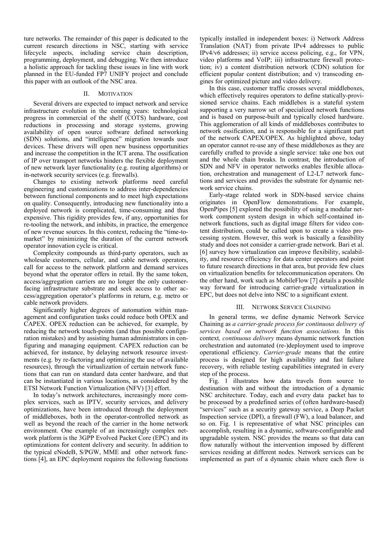ture networks. The remainder of this paper is dedicated to the current research directions in NSC, starting with service lifecycle aspects, including service chain description, programming, deployment, and debugging. We then introduce a holistic approach for tackling these issues in line with work planned in the EU-funded FP7 UNIFY project and conclude this paper with an outlook of the NSC area.

## II. MOTIVATION

Several drivers are expected to impact network and service infrastructure evolution in the coming years: technological progress in commercial of the shelf (COTS) hardware, cost reductions in processing and storage systems, growing availability of open source software defined networking (SDN) solutions, and "intelligence" migration towards user devices. These drivers will open new business opportunities and increase the competition in the ICT arena. The ossification of IP over transport networks hinders the flexible deployment of new network layer functionality (e.g. routing algorithms) or in-network security services (e.g. firewalls).

Changes to existing network platforms need careful engineering and customizations to address inter-dependencies between functional components and to meet high expectations on quality. Consequently, introducing new functionality into a deployed network is complicated, time-consuming and thus expensive. This rigidity provides few, if any, opportunities for re-tooling the network, and inhibits, in practice, the emergence of new revenue sources. In this context, reducing the "time-tomarket" by minimizing the duration of the current network operator innovation cycle is critical.

Complexity compounds as third-party operators, such as wholesale customers, cellular, and cable network operators, call for access to the network platform and demand services beyond what the operator offers in retail. By the same token, access/aggregation carriers are no longer the only customerfacing infrastructure substrate and seek access to other access/aggregation operator's platforms in return, e.g. metro or cable network providers.

Significantly higher degrees of automation within management and configuration tasks could reduce both OPEX and CAPEX. OPEX reduction can be achieved, for example, by reducing the network touch-points (and thus possible configuration mistakes) and by assisting human administrators in configuring and managing equipment. CAPEX reduction can be achieved, for instance, by delaying network resource investments (e.g. by re-factoring and optimizing the use of available resources), through the virtualization of certain network functions that can run on standard data center hardware, and that can be instantiated in various locations, as considered by the ETSI Network Function Virtualization (NFV) [3] effort.

In today's network architectures, increasingly more complex services, such as IPTV, security services, and delivery optimizations, have been introduced through the deployment of middleboxes, both in the operator-controlled network as well as beyond the reach of the carrier in the home network environment. One example of an increasingly complex network platform is the 3GPP Evolved Packet Core (EPC) and its optimizations for content delivery and security. In addition to the typical eNodeB, S/PGW, MME and other network functions [4], an EPC deployment requires the following functions typically installed in independent boxes: i) Network Address Translation (NAT) from private IPv4 addresses to public IPv4/v6 addresses; ii) service access policing, e.g., for VPN, video platforms and VoIP; iii) infrastructure firewall protection; iv) a content distribution network (CDN) solution for efficient popular content distribution; and v) transcoding engines for optimized picture and video delivery.

In this case, customer traffic crosses several middleboxes, which effectively requires operators to define statically-provisioned service chains. Each middlebox is a stateful system supporting a very narrow set of specialized network functions and is based on purpose-built and typically closed hardware. This agglomeration of all kinds of middleboxes contributes to network ossification, and is responsible for a significant part of the network CAPEX/OPEX. As highlighted above, today an operator cannot re-use any of these middleboxes as they are carefully crafted to provide a single service: take one box out and the whole chain breaks. In contrast, the introduction of SDN and NFV in operator networks enables flexible allocation, orchestration and management of L2-L7 network functions and services and provides the substrate for dynamic network service chains.

Early-stage related work in SDN-based service chains originates in OpenFlow demonstrations. For example, OpenPipes [5] explored the possibility of using a modular network component system design in which self-contained innetwork functions, such as digital image filters for video content distribution, could be called upon to create a video processing system. However, this work is basically a feasibility study and does not consider a carrier-grade network. Bari et al. [6] survey how virtualization can improve flexibility, scalability, and resource efficiency for data center operators and point to future research directions in that area, but provide few clues on virtualization benefits for telecommunication operators. On the other hand, work such as MobileFlow [7] details a possible way forward for introducing carrier-grade virtualization in EPC, but does not delve into NSC to a significant extent.

## III. NETWORK SERVICE CHAINING

In general terms, we define dynamic Network Service Chaining as *a carrier-grade process for continuous delivery of services based on network function associations.* In this context*, continuous delivery* means dynamic network function orchestration and automated (re-)deployment used to improve operational efficiency. *Carrier-grade* means that the entire process is designed for high availability and fast failure recovery, with reliable testing capabilities integrated in every step of the process.

Fig. 1 illustrates how data travels from source to destination with and without the introduction of a dynamic NSC architecture. Today, each and every data packet has to be processed by a predefined series of (often hardware-based) "services" such as a security gateway service, a Deep Packet Inspection service (DPI), a firewall (FW), a load balancer, and so on. Fig. 1 is representative of what NSC principles can accomplish, resulting in a dynamic, software-configurable and upgradable system. NSC provides the means so that data can flow naturally without the intervention imposed by different services residing at different nodes. Network services can be implemented as part of a dynamic chain where each flow is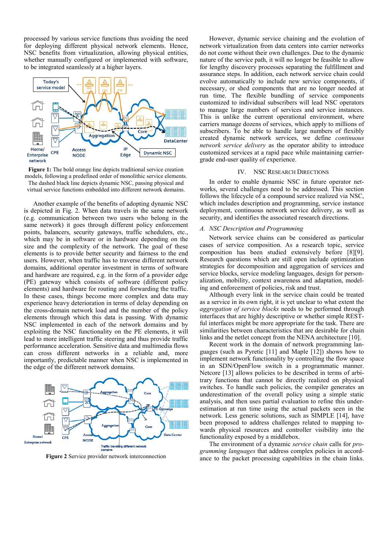processed by various service functions thus avoiding the need for deploying different physical network elements. Hence, NSC benefits from virtualization, allowing physical entities, whether manually configured or implemented with software, to be integrated seamlessly at a higher layers.



Figure 1: The bold orange line depicts traditional service creation models, following a predefined order of monolithic service elements. The dashed black line depicts dynamic NSC, passing physical and virtual service functions embedded into different network domains.

Another example of the benefits of adopting dynamic NSC is depicted in Fig. 2. When data travels in the same network (e.g. communication between two users who belong in the same network) it goes through different policy enforcement points, balancers, security gateways, traffic schedulers, etc., which may be in software or in hardware depending on the size and the complexity of the network. The goal of these elements is to provide better security and fairness to the end users. However, when traffic has to traverse different network domains, additional operator investment in terms of software and hardware are required, e.g. in the form of a provider edge (PE) gateway which consists of software (different policy elements) and hardware for routing and forwarding the traffic. In these cases, things become more complex and data may experience heavy deterioration in terms of delay depending on the cross-domain network load and the number of the policy elements through which this data is passing. With dynamic NSC implemented in each of the network domains and by exploiting the NSC functionality on the PE elements, it will lead to more intelligent traffic steering and thus provide traffic performance acceleration. Sensitive data and multimedia flows can cross different networks in a reliable and, more importantly, predictable manner when NSC is implemented in the edge of the different network domains.



**Figure 2** Service provider network interconnection

However, dynamic service chaining and the evolution of network virtualization from data centers into carrier networks do not come without their own challenges. Due to the dynamic nature of the service path, it will no longer be feasible to allow for lengthy discovery processes separating the fulfillment and assurance steps. In addition, each network service chain could evolve automatically to include new service components, if necessary, or shed components that are no longer needed at run time. The flexible bundling of service components customized to individual subscribers will lead NSC operators to manage large numbers of services and service instances. This is unlike the current operational environment, where carriers manage dozens of services, which apply to millions of subscribers. To be able to handle large numbers of flexibly created dynamic network services, we define *continuous network service delivery* as the operator ability to introduce customized services at a rapid pace while maintaining carriergrade end-user quality of experience.

## IV. NSC RESEARCH DIRECTIONS

In order to enable dynamic NSC in future operator networks, several challenges need to be addressed. This section follows the lifecycle of a compound service realized via NSC, which includes description and programming, service instance deployment, continuous network service delivery, as well as security, and identifies the associated research directions.

## *A. NSC Description and Programming*

Network service chains can be considered as particular cases of service composition. As a research topic, service composition has been studied extensively before [8][9]. Research questions which are still open include optimization strategies for decomposition and aggregation of services and service blocks, service modeling languages, design for personalization, mobility, context awareness and adaptation, modeling and enforcement of policies, risk and trust.

Although every link in the service chain could be treated as a service in its own right, it is yet unclear to what extent the *aggregation of service blocks* needs to be performed through interfaces that are highly descriptive or whether simple RESTful interfaces might be more appropriate for the task. There are similarities between characteristics that are desirable for chain links and the netlet concept from the NENA architecture [10].

Recent work in the domain of network programming languages (such as Pyretic [11] and Maple [12]) shows how to implement network functionality by controlling the flow space in an SDN/OpenFlow switch in a programmatic manner. Netcore [13] allows policies to be described in terms of arbitrary functions that cannot be directly realized on physical switches. To handle such policies, the compiler generates an underestimation of the overall policy using a simple static analysis, and then uses partial evaluation to refine this underestimation at run time using the actual packets seen in the network. Less generic solutions, such as SIMPLE [14], have been proposed to address challenges related to mapping towards physical resources and controller visibility into the functionality exposed by a middlebox.

The environment of a dynamic *service chain* calls for *programming languages* that address complex policies in accordance to the packet processing capabilities in the chain links.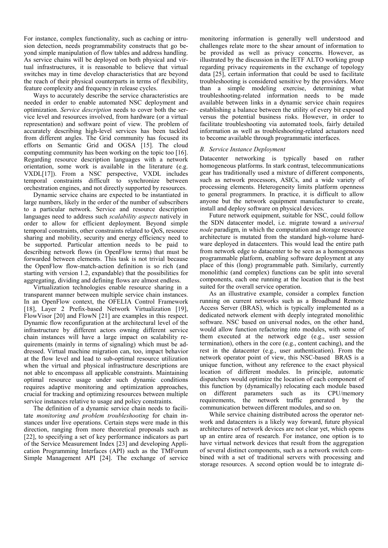For instance, complex functionality, such as caching or intrusion detection, needs programmability constructs that go beyond simple manipulation of flow tables and address handling. As service chains will be deployed on both physical and virtual infrastructures, it is reasonable to believe that virtual switches may in time develop characteristics that are beyond the reach of their physical counterparts in terms of flexibility, feature complexity and frequency in release cycles.

Ways to accurately describe the service characteristics are needed in order to enable automated NSC deployment and optimization. *Service description* needs to cover both the service level and resources involved, from hardware (or a virtual representation) and software point of view. The problem of accurately describing high-level services has been tackled from different angles. The Grid community has focused its efforts on Semantic Grid and OGSA [15]. The cloud computing community has been working on the topic too [16]. Regarding resource description languages with a network orientation, some work is available in the literature (e.g. VXDL[17]). From a NSC perspective, VXDL includes temporal constraints difficult to synchronize between orchestration engines, and not directly supported by resources.

Dynamic service chains are expected to be instantiated in large numbers, likely in the order of the number of subscribers to a particular network. Service and resource description languages need to address such *scalability aspects* natively in order to allow for efficient deployment. Beyond simple temporal constraints, other constraints related to QoS, resource sharing and mobility, security and energy efficiency need to be supported. Particular attention needs to be paid to describing network flows (in OpenFlow terms) that must be forwarded between elements. This task is not trivial because the OpenFlow flow-match-action definition is so rich (and starting with version 1.2, expandable) that the possibilities for aggregating, dividing and defining flows are almost endless.

Virtualization technologies enable resource sharing in a transparent manner between multiple service chain instances. In an OpenFlow context, the OFELIA Control Framework [18], Layer 2 Prefix-based Network Virtualization [19], FlowVisor [20] and FlowN [21] are examples in this respect. Dynamic flow reconfiguration at the architectural level of the infrastructure by different actors owning different service chain instances will have a large impact on scalability requirements (mainly in terms of signaling) which must be addressed. Virtual machine migration can, too, impact behavior at the flow level and lead to sub-optimal resource utilization when the virtual and physical infrastructure descriptions are not able to encompass all applicable constraints. Maintaining optimal resource usage under such dynamic conditions requires adaptive monitoring and optimization approaches, crucial for tracking and optimizing resources between multiple service instances relative to usage and policy constraints.

The definition of a dynamic service chain needs to facilitate *monitoring and problem troubleshooting* for chain instances under live operations. Certain steps were made in this direction, ranging from more theoretical proposals such as [22], to specifying a set of key performance indicators as part of the Service Measurement Index [23] and developing Application Programming Interfaces (API) such as the TMForum Simple Management API [24]. The exchange of service monitoring information is generally well understood and challenges relate more to the shear amount of information to be provided as well as privacy concerns. However, as illustrated by the discussion in the IETF ALTO working group regarding privacy requirements in the exchange of topology data [25], certain information that could be used to facilitate troubleshooting is considered sensitive by the providers. More than a simple modeling exercise, determining what troubleshooting-related information needs to be made available between links in a dynamic service chain requires establishing a balance between the utility of every bit exposed versus the potential business risks. However, in order to facilitate troubleshooting via automated tools, fairly detailed information as well as troubleshooting-related actuators need to become available through programmatic interfaces.

## *B. Service Instance Deployment*

Datacenter networking is typically based on rather homogeneous platforms. In stark contrast, telecommunications gear has traditionally used a mixture of different components, such as network processors, ASICs, and a wide variety of processing elements. Heterogeneity limits platform openness to general programmers. In practice, it is difficult to allow anyone but the network equipment manufacturer to create, install and deploy software on physical devices.

Future network equipment, suitable for NSC, could follow the SDN datacenter model, i.e. migrate toward a *universal node* paradigm, in which the computation and storage resource architecture is mutated from the standard high-volume hardware deployed in datacenters. This would lead the entire path from network edge to datacenter to be seen as a homogeneous programmable platform, enabling software deployment at any place of this (long) programmable path. Similarly, currently monolithic (and complex) functions can be split into several components, each one running at the location that is the best suited for the overall service operation.

As an illustrative example, consider a complex function running on current networks such as a Broadband Remote Access Server (BRAS), which is typically implemented as a dedicated network element with deeply integrated monolithic software. NSC based on universal nodes, on the other hand, would allow function refactoring into modules, with some of them executed at the network edge (e.g., user session termination), others in the core (e.g., content caching), and the rest in the datacenter (e.g., user authentication). From the network operator point of view, this NSC-based BRAS is a unique function, without any reference to the exact physical location of different modules. In principle, automatic dispatchers would optimize the location of each component of this function by (dynamically) relocating each module based on different parameters such as its CPU/memory requirements, the network traffic generated by the communication between different modules, and so on.

While service chaining distributed across the operator network and datacenters is a likely way forward, future physical architectures of network devices are not clear yet, which opens up an entire area of research. For instance, one option is to have virtual network devices that result from the aggregation of several distinct components, such as a network switch combined with a set of traditional servers with processing and storage resources. A second option would be to integrate di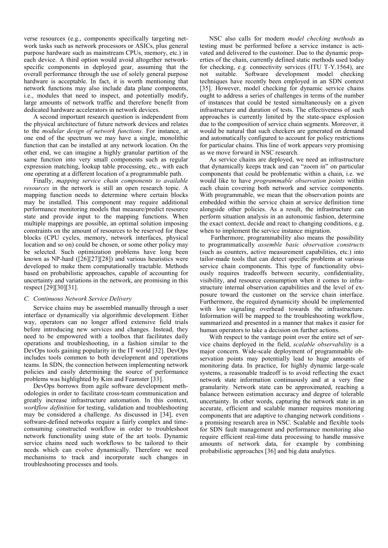verse resources (e.g., components specifically targeting network tasks such as network processors or ASICs, plus general purpose hardware such as mainstream CPUs, memory, etc.) in each device. A third option would avoid altogether networkspecific components in deployed gear, assuming that the overall performance through the use of solely general purpose hardware is acceptable. In fact, it is worth mentioning that network functions may also include data plane components, i.e., modules that need to inspect, and potentially modify, large amounts of network traffic and therefore benefit from dedicated hardware accelerators in network devices.

A second important research question is independent from the physical architecture of future network devices and relates to the *modular design of network functions*. For instance, at one end of the spectrum we may have a single, monolithic function that can be installed at any network location. On the other end, we can imagine a highly granular partition of the same function into very small components such as regular expression matching, lookup table processing, etc., with each one operating at a different location of a programmable path.

Finally, *mapping service chain components to available resources* in the network is still an open research topic. A mapping function needs to determine where certain blocks may be installed. This component may require additional performance monitoring models that measure/predict resource state and provide input to the mapping functions. When multiple mappings are possible, an optimal solution imposing constraints on the amount of resources to be reserved for these blocks (CPU cycles, memory, network interfaces, physical location and so on) could be chosen, or some other policy may be selected. Such optimization problems have long been known as NP-hard ([26][27][28]) and various heuristics were developed to make them computationally tractable. Methods based on probabilistic approaches, capable of accounting for uncertainty and variations in the network, are promising in this respect [29][30][31].

## *C. Continuous Network Service Delivery*

Service chains may be assembled manually through a user interface or dynamically via algorithmic development. Either way, operators can no longer afford extensive field trials before introducing new services and changes. Instead, they need to be empowered with a toolbox that facilitates daily operations and troubleshooting, in a fashion similar to the DevOps tools gaining popularity in the IT world [32]. DevOps includes tools common to both development and operations teams. In SDN, the connection between implementing network policies and easily determining the source of performance problems was highlighted by Kim and Feamster [33].

DevOps borrows from agile software development methodologies in order to facilitate cross-team communication and greatly increase infrastructure automation. In this context, *workflow definition* for testing, validation and troubleshooting may be considered a challenge. As discussed in [34], even software-defined networks require a fairly complex and timeconsuming constructed workflow in order to troubleshoot network functionality using state of the art tools. Dynamic service chains need such workflows to be tailored to their needs which can evolve dynamically. Therefore we need mechanisms to track and incorporate such changes in troubleshooting processes and tools.

NSC also calls for modern *model checking methods* as testing must be performed before a service instance is activated and delivered to the customer. Due to the dynamic properties of the chain, currently defined static methods used today for checking, e.g. connectivity services (ITU T-Y.1564), are not suitable. Software development model checking techniques have recently been employed in an SDN context [35]. However, model checking for dynamic service chains ought to address a series of challenges in terms of the number of instances that could be tested simultaneously on a given infrastructure and duration of tests. The effectiveness of such approaches is currently limited by the state-space explosion due to the composition of service chain segments. Moreover, it would be natural that such checkers are generated on demand and automatically configured to account for policy restrictions for particular chains. This line of work appears very promising as we move forward in NSC research.

As service chains are deployed, we need an infrastructure that dynamically keeps track and can "zoom in" on particular components that could be problematic within a chain, i.e. we would like to have *programmable observation points* within each chain covering both network and service components. With programmable, we mean that the observation points are embedded within the service chain at service definition time alongside other policies. As a result, the infrastructure can perform situation analysis in an autonomic fashion, determine the exact context, decide and react to changing conditions, e.g. when to implement the service instance migration.

 Furthermore, programmability also means the possibility to programmatically *assemble basic observation constructs* (such as counters, active measurement capabilities, etc.) into tailor-made tools that can detect specific problems at various service chain components. This type of functionality obviously requires tradeoffs between security, confidentiality, visibility, and resource consumption when it comes to infrastructure internal observation capabilities and the level of exposure toward the customer on the service chain interface. Furthermore, the required dynamicity should be implemented with low signaling overhead towards the infrastructure. Information will be mapped to the troubleshooting workflow, summarized and presented in a manner that makes it easier for human operators to take a decision on further actions.

With respect to the vantage point over the entire set of service chains deployed in the field, *scalable observability* is a major concern. Wide-scale deployment of programmable observation points may potentially lead to huge amounts of monitoring data. In practice, for highly dynamic large-scale systems, a reasonable tradeoff is to avoid reflecting the exact network state information continuously and at a very fine granularity. Network state can be approximated, reaching a balance between estimation accuracy and degree of tolerable uncertainty. In other words, capturing the network state in an accurate, efficient and scalable manner requires monitoring components that are adaptive to changing network conditions a promising research area in NSC. Scalable and flexible tools for SDN fault management and performance monitoring also require efficient real-time data processing to handle massive amounts of network data, for example by combining probabilistic approaches [36] and big data analytics.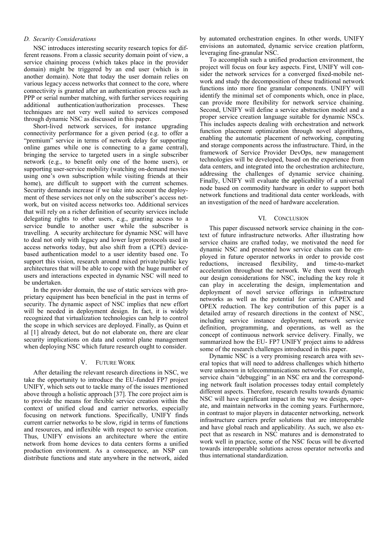## *D. Security Considerations*

NSC introduces interesting security research topics for different reasons. From a classic security domain point of view, a service chaining process (which takes place in the provider domain) might be triggered by an end user (which is in another domain). Note that today the user domain relies on various legacy access networks that connect to the core, where connectivity is granted after an authentication process such as PPP or serial number matching, with further services requiring additional authentication/authorization processes. These techniques are not very well suited to services composed through dynamic NSC as discussed in this paper.

Short-lived network services, for instance upgrading connectivity performance for a given period (e.g. to offer a "premium" service in terms of network delay for supporting online games while one is connecting to a game central), bringing the service to targeted users in a single subscriber network (e.g., to benefit only one of the home users), or supporting user-service mobility (watching on-demand movies using one's own subscription while visiting friends at their home), are difficult to support with the current schemes. Security demands increase if we take into account the deployment of these services not only on the subscriber's access network, but on visited access networks too. Additional services that will rely on a richer definition of security services include delegating rights to other users, e.g., granting access to a service bundle to another user while the subscriber is travelling. A security architecture for dynamic NSC will have to deal not only with legacy and lower layer protocols used in access networks today, but also shift from a (CPE) devicebased authentication model to a user identity based one. To support this vision, research around mixed private/public key architectures that will be able to cope with the huge number of users and interactions expected in dynamic NSC will need to be undertaken.

In the provider domain, the use of static services with proprietary equipment has been beneficial in the past in terms of security. The dynamic aspect of NSC implies that new effort will be needed in deployment design. In fact, it is widely recognized that virtualization technologies can help to control the scope in which services are deployed. Finally, as Quinn et al [1] already detect, but do not elaborate on, there are clear security implications on data and control plane management when deploying NSC which future research ought to consider.

## V. FUTURE WORK

After detailing the relevant research directions in NSC, we take the opportunity to introduce the EU-funded FP7 project UNIFY, which sets out to tackle many of the issues mentioned above through a holistic approach [37]. The core project aim is to provide the means for flexible service creation within the context of unified cloud and carrier networks, especially focusing on network functions. Specifically, UNIFY finds current carrier networks to be slow, rigid in terms of functions and resources, and inflexible with respect to service creation. Thus, UNIFY envisions an architecture where the entire network from home devices to data centers forms a unified production environment. As a consequence, an NSP can distribute functions and state anywhere in the network, aided by automated orchestration engines. In other words, UNIFY envisions an automated, dynamic service creation platform, leveraging fine-granular NSC.

To accomplish such a unified production environment, the project will focus on four key aspects. First, UNIFY will consider the network services for a converged fixed-mobile network and study the decomposition of these traditional network functions into more fine granular components. UNIFY will identify the minimal set of components which, once in place, can provide more flexibility for network service chaining. Second, UNIFY will define a service abstraction model and a proper service creation language suitable for dynamic NSCs. This includes aspects dealing with orchestration and network function placement optimization through novel algorithms, enabling the automatic placement of networking, computing and storage components across the infrastructure. Third, in the framework of Service Provider DevOps, new management technologies will be developed, based on the experience from data centers, and integrated into the orchestration architecture, addressing the challenges of dynamic service chaining. Finally, UNIFY will evaluate the applicability of a universal node based on commodity hardware in order to support both network functions and traditional data center workloads, with an investigation of the need of hardware acceleration.

## VI. CONCLUSION

This paper discussed network service chaining in the context of future infrastructure networks. After illustrating how service chains are crafted today, we motivated the need for dynamic NSC and presented how service chains can be employed in future operator networks in order to provide cost reductions, increased flexibility, and time-to-market acceleration throughout the network. We then went through our design considerations for NSC, including the key role it can play in accelerating the design, implementation and deployment of novel service offerings in infrastructure networks as well as the potential for carrier CAPEX and OPEX reduction. The key contribution of this paper is a detailed array of research directions in the context of NSC, including service instance deployment, network service definition, programming, and operations, as well as the concept of continuous network service delivery. Finally, we summarized how the EU- FP7 UNIFY project aims to address some of the research challenges introduced in this paper.

Dynamic NSC is a very promising research area with several topics that will need to address challenges which hitherto were unknown in telecommunications networks. For example, service chain "debugging" in an NSC era and the corresponding network fault isolation processes today entail completely different aspects. Therefore, research results towards dynamic NSC will have significant impact in the way we design, operate, and maintain networks in the coming years. Furthermore, in contrast to major players in datacenter networking, network infrastructure carriers prefer solutions that are interoperable and have global reach and applicability. As such, we also expect that as research in NSC matures and is demonstrated to work well in practice, some of the NSC focus will be diverted towards interoperable solutions across operator networks and thus international standardization.